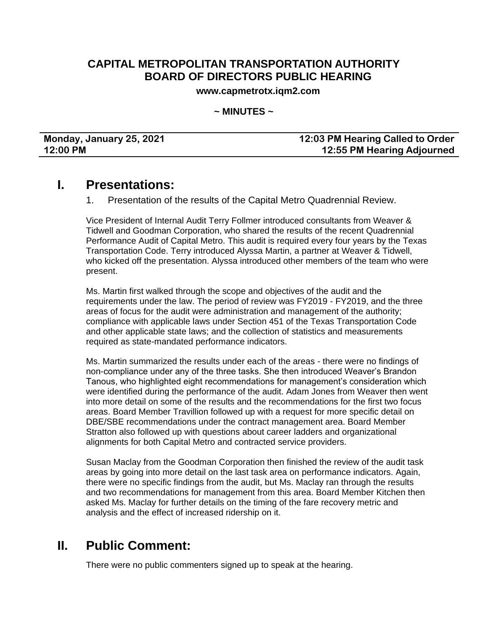### **CAPITAL METROPOLITAN TRANSPORTATION AUTHORITY BOARD OF DIRECTORS PUBLIC HEARING**

**www.capmetrotx.iqm2.com**

**~ MINUTES ~**

#### **Monday, January 25, 2021 12:03 PM Hearing Called to Order 12:00 PM 12:55 PM Hearing Adjourned**

## **I. Presentations:**

1. Presentation of the results of the Capital Metro Quadrennial Review.

Vice President of Internal Audit Terry Follmer introduced consultants from Weaver & Tidwell and Goodman Corporation, who shared the results of the recent Quadrennial Performance Audit of Capital Metro. This audit is required every four years by the Texas Transportation Code. Terry introduced Alyssa Martin, a partner at Weaver & Tidwell, who kicked off the presentation. Alyssa introduced other members of the team who were present.

Ms. Martin first walked through the scope and objectives of the audit and the requirements under the law. The period of review was FY2019 - FY2019, and the three areas of focus for the audit were administration and management of the authority; compliance with applicable laws under Section 451 of the Texas Transportation Code and other applicable state laws; and the collection of statistics and measurements required as state-mandated performance indicators.

Ms. Martin summarized the results under each of the areas - there were no findings of non-compliance under any of the three tasks. She then introduced Weaver's Brandon Tanous, who highlighted eight recommendations for management's consideration which were identified during the performance of the audit. Adam Jones from Weaver then went into more detail on some of the results and the recommendations for the first two focus areas. Board Member Travillion followed up with a request for more specific detail on DBE/SBE recommendations under the contract management area. Board Member Stratton also followed up with questions about career ladders and organizational alignments for both Capital Metro and contracted service providers.

Susan Maclay from the Goodman Corporation then finished the review of the audit task areas by going into more detail on the last task area on performance indicators. Again, there were no specific findings from the audit, but Ms. Maclay ran through the results and two recommendations for management from this area. Board Member Kitchen then asked Ms. Maclay for further details on the timing of the fare recovery metric and analysis and the effect of increased ridership on it.

## **II. Public Comment:**

There were no public commenters signed up to speak at the hearing.